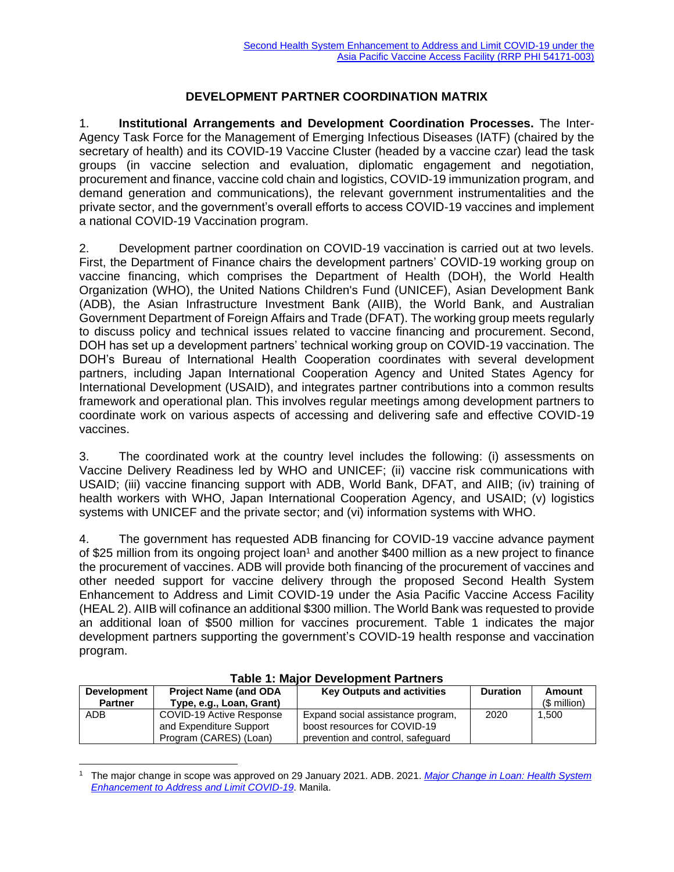## **DEVELOPMENT PARTNER COORDINATION MATRIX**

1. **Institutional Arrangements and Development Coordination Processes.** The Inter-Agency Task Force for the Management of Emerging Infectious Diseases (IATF) (chaired by the secretary of health) and its COVID-19 Vaccine Cluster (headed by a vaccine czar) lead the task groups (in vaccine selection and evaluation, diplomatic engagement and negotiation, procurement and finance, vaccine cold chain and logistics, COVID-19 immunization program, and demand generation and communications), the relevant government instrumentalities and the private sector, and the government's overall efforts to access COVID-19 vaccines and implement a national COVID-19 Vaccination program.

2. Development partner coordination on COVID-19 vaccination is carried out at two levels. First, the Department of Finance chairs the development partners' COVID-19 working group on vaccine financing, which comprises the Department of Health (DOH), the World Health Organization (WHO), the United Nations Children's Fund (UNICEF), Asian Development Bank (ADB), the Asian Infrastructure Investment Bank (AIIB), the World Bank, and Australian Government Department of Foreign Affairs and Trade (DFAT). The working group meets regularly to discuss policy and technical issues related to vaccine financing and procurement. Second, DOH has set up a development partners' technical working group on COVID-19 vaccination. The DOH's Bureau of International Health Cooperation coordinates with several development partners, including Japan International Cooperation Agency and United States Agency for International Development (USAID), and integrates partner contributions into a common results framework and operational plan. This involves regular meetings among development partners to coordinate work on various aspects of accessing and delivering safe and effective COVID-19 vaccines.

3. The coordinated work at the country level includes the following: (i) assessments on Vaccine Delivery Readiness led by WHO and UNICEF; (ii) vaccine risk communications with USAID; (iii) vaccine financing support with ADB, World Bank, DFAT, and AIIB; (iv) training of health workers with WHO, Japan International Cooperation Agency, and USAID; (v) logistics systems with UNICEF and the private sector; and (vi) information systems with WHO.

4. The government has requested ADB financing for COVID-19 vaccine advance payment of \$25 million from its ongoing project loan<sup>1</sup> and another \$400 million as a new project to finance the procurement of vaccines. ADB will provide both financing of the procurement of vaccines and other needed support for vaccine delivery through the proposed Second Health System Enhancement to Address and Limit COVID-19 under the Asia Pacific Vaccine Access Facility (HEAL 2). AIIB will cofinance an additional \$300 million. The World Bank was requested to provide an additional loan of \$500 million for vaccines procurement. Table 1 indicates the major development partners supporting the government's COVID-19 health response and vaccination program.

| <b>Development</b> | <b>Project Name (and ODA</b> | <b>Key Outputs and activities</b> | <b>Duration</b> | Amount        |  |  |  |
|--------------------|------------------------------|-----------------------------------|-----------------|---------------|--|--|--|
| <b>Partner</b>     | Type, e.g., Loan, Grant)     |                                   |                 | $(S$ million) |  |  |  |
| ADB                | COVID-19 Active Response     | Expand social assistance program, | 2020            | 1.500         |  |  |  |
|                    | and Expenditure Support      | boost resources for COVID-19      |                 |               |  |  |  |
|                    | Program (CARES) (Loan)       | prevention and control, safeguard |                 |               |  |  |  |

## **Table 1: Major Development Partners**

<sup>1</sup> The major change in scope was approved on 29 January 2021. ADB. 2021. *[Major Change in Loan: Health System](https://www.adb.org/projects/documents/phi-54171-002-mcs)  [Enhancement to Address and Limit COVID-19](https://www.adb.org/projects/documents/phi-54171-002-mcs)*. Manila.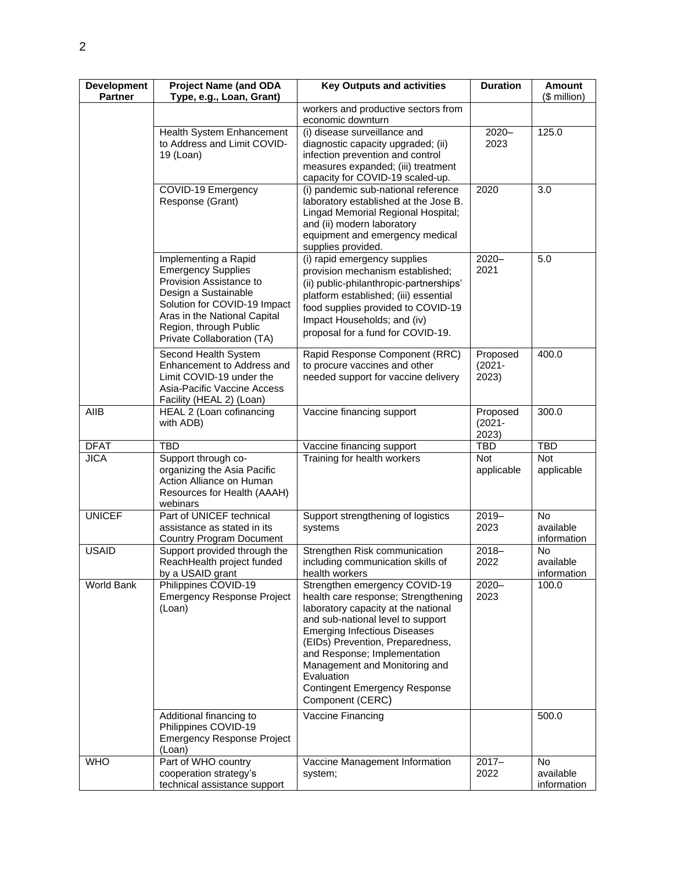| <b>Development</b><br><b>Partner</b> | <b>Project Name (and ODA</b><br>Type, e.g., Loan, Grant)                                                                                                                                                                     | <b>Key Outputs and activities</b>                                                                                                                                                                                                                                                                                                                                      | <b>Duration</b>                | <b>Amount</b><br>(\$ million)         |
|--------------------------------------|------------------------------------------------------------------------------------------------------------------------------------------------------------------------------------------------------------------------------|------------------------------------------------------------------------------------------------------------------------------------------------------------------------------------------------------------------------------------------------------------------------------------------------------------------------------------------------------------------------|--------------------------------|---------------------------------------|
|                                      |                                                                                                                                                                                                                              | workers and productive sectors from<br>economic downturn                                                                                                                                                                                                                                                                                                               |                                |                                       |
|                                      | Health System Enhancement<br>to Address and Limit COVID-<br>19 (Loan)                                                                                                                                                        | (i) disease surveillance and<br>diagnostic capacity upgraded; (ii)<br>infection prevention and control<br>measures expanded; (iii) treatment<br>capacity for COVID-19 scaled-up.                                                                                                                                                                                       | $2020 -$<br>2023               | 125.0                                 |
|                                      | <b>COVID-19 Emergency</b><br>Response (Grant)                                                                                                                                                                                | (i) pandemic sub-national reference<br>laboratory established at the Jose B.<br>Lingad Memorial Regional Hospital;<br>and (ii) modern laboratory<br>equipment and emergency medical<br>supplies provided.                                                                                                                                                              | 2020                           | 3.0                                   |
|                                      | Implementing a Rapid<br><b>Emergency Supplies</b><br>Provision Assistance to<br>Design a Sustainable<br>Solution for COVID-19 Impact<br>Aras in the National Capital<br>Region, through Public<br>Private Collaboration (TA) | (i) rapid emergency supplies<br>provision mechanism established;<br>(ii) public-philanthropic-partnerships'<br>platform established; (iii) essential<br>food supplies provided to COVID-19<br>Impact Households; and (iv)<br>proposal for a fund for COVID-19.                                                                                                         | $2020 -$<br>2021               | 5.0                                   |
|                                      | Second Health System<br>Enhancement to Address and<br>Limit COVID-19 under the<br>Asia-Pacific Vaccine Access<br>Facility (HEAL 2) (Loan)                                                                                    | Rapid Response Component (RRC)<br>to procure vaccines and other<br>needed support for vaccine delivery                                                                                                                                                                                                                                                                 | Proposed<br>$(2021 -$<br>2023) | 400.0                                 |
| AIIB                                 | HEAL 2 (Loan cofinancing<br>with ADB)                                                                                                                                                                                        | Vaccine financing support                                                                                                                                                                                                                                                                                                                                              | Proposed<br>$(2021 -$<br>2023) | 300.0                                 |
| <b>DFAT</b>                          | <b>TBD</b>                                                                                                                                                                                                                   | Vaccine financing support                                                                                                                                                                                                                                                                                                                                              | <b>TBD</b>                     | <b>TBD</b>                            |
| <b>JICA</b>                          | Support through co-<br>organizing the Asia Pacific<br>Action Alliance on Human<br>Resources for Health (AAAH)<br>webinars                                                                                                    | Training for health workers                                                                                                                                                                                                                                                                                                                                            | <b>Not</b><br>applicable       | <b>Not</b><br>applicable              |
| <b>UNICEF</b>                        | Part of UNICEF technical<br>assistance as stated in its<br>Country Program Document                                                                                                                                          | Support strengthening of logistics<br>systems                                                                                                                                                                                                                                                                                                                          | $2019 -$<br>2023               | <b>No</b><br>available<br>information |
| <b>USAID</b>                         | Support provided through the<br>ReachHealth project funded<br>by a USAID grant                                                                                                                                               | Strengthen Risk communication<br>including communication skills of<br>health workers                                                                                                                                                                                                                                                                                   | $2018 -$<br>2022               | No<br>available<br>information        |
| World Bank                           | Philippines COVID-19<br><b>Emergency Response Project</b><br>(Loan)                                                                                                                                                          | Strengthen emergency COVID-19<br>health care response; Strengthening<br>laboratory capacity at the national<br>and sub-national level to support<br><b>Emerging Infectious Diseases</b><br>(EIDs) Prevention, Preparedness,<br>and Response; Implementation<br>Management and Monitoring and<br>Evaluation<br><b>Contingent Emergency Response</b><br>Component (CERC) | $2020 -$<br>2023               | 100.0                                 |
|                                      | Additional financing to<br>Philippines COVID-19<br><b>Emergency Response Project</b><br>(Loan)                                                                                                                               | Vaccine Financing                                                                                                                                                                                                                                                                                                                                                      |                                | 500.0                                 |
| <b>WHO</b>                           | Part of WHO country<br>cooperation strategy's<br>technical assistance support                                                                                                                                                | Vaccine Management Information<br>system;                                                                                                                                                                                                                                                                                                                              | $2017 -$<br>2022               | <b>No</b><br>available<br>information |